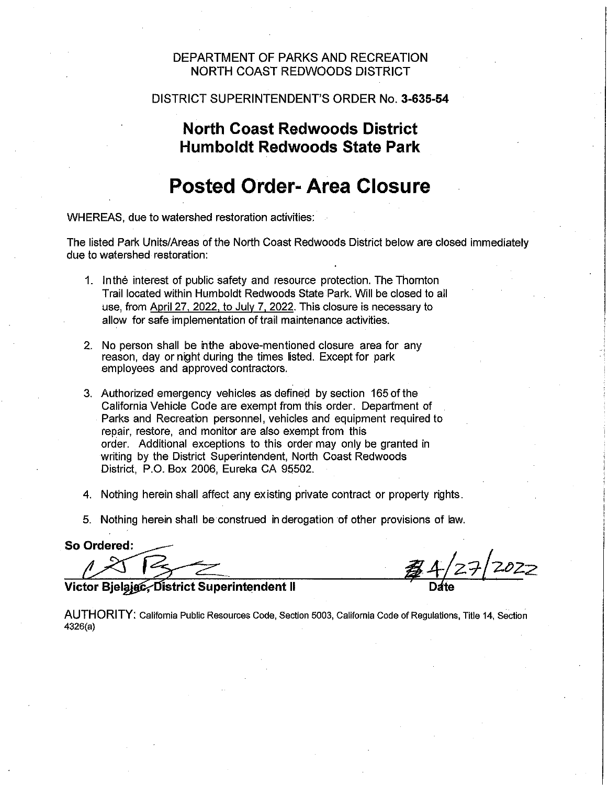#### DEPARTMENT OF PARKS AND RECREATION NORTH COAST REDWOODS DISTRICT

#### DISTRICT SUPERINTENDENT'S ORDER No. **3-635-54**

### **North Coast Redwoods District Humboldt Redwoods State Park**

## **Posted Order-Area Closure**

WHEREAS, due to watershed restoration activities:

The listed Park Units/Areas of the North Coast Redwoods District below are closed immediately due to watershed restoration:

- 1. In the interest of public safety and resource protection. The Thornton Trail located within Humboldt Redwoods State Park. Will be closed to all use, from April 27. 2022. to July 7. 2022. This closure is necessary to allow for safe implementation of trail maintenance activities.
- 2. No person shall be inthe above-mentioned closure area for any reason. day or night during the times listed. Except for park employees and approved contractors.
- 3. Authorized emergency vehicles as defined by section 165 of the California Vehicle Code are exempt from this order. Department of Parks and Recreation personnel, vehicles and equipment required to repair, restore, and monitor are also exempt from this order. Additional exceptions to this order may only be granted in writing by the District Superintendent, North Coast Redwoods District, P.O. Box 2006, Eureka CA 95502.
- 4. Nothing herein shall affect any existing private contract or property rights.
- 5. Nothing herein shall be construed in derogation of other provisions of law.

So Ordered:

 $27/2022$ 

Victor Bielajac, District Superintendent II

**AUTHORITY:** California Public Resources Code, Section 5003, California Code of Regulations, Title 14, Section 4326(a)